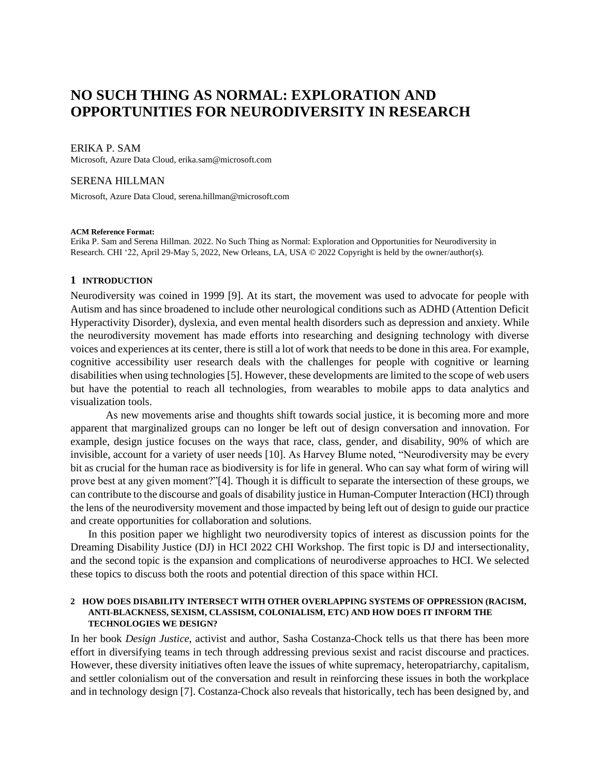# **NO SUCH THING AS NORMAL: EXPLORATION AND OPPORTUNITIES FOR NEURODIVERSITY IN RESEARCH**

## ERIKA P. SAM

Microsoft, Azure Data Cloud, erika.sam@microsoft.com

## SERENA HILLMAN

Microsoft, Azure Data Cloud, serena.hillman@microsoft.com

#### **ACM Reference Format:**

Erika P. Sam and Serena Hillman. 2022. No Such Thing as Normal: Exploration and Opportunities for Neurodiversity in Research. CHI '22, April 29-May 5, 2022, New Orleans, LA, USA © 2022 Copyright is held by the owner/author(s).

# **1 INTRODUCTION**

Neurodiversity was coined in 1999 [9]. At its start, the movement was used to advocate for people with Autism and has since broadened to include other neurological conditions such as ADHD (Attention Deficit Hyperactivity Disorder), dyslexia, and even mental health disorders such as depression and anxiety. While the neurodiversity movement has made efforts into researching and designing technology with diverse voices and experiences at its center, there is still a lot of work that needs to be done in this area. For example, cognitive accessibility user research deals with the challenges for people with cognitive or learning disabilities when using technologies [5]. However, these developments are limited to the scope of web users but have the potential to reach all technologies, from wearables to mobile apps to data analytics and visualization tools.

As new movements arise and thoughts shift towards social justice, it is becoming more and more apparent that marginalized groups can no longer be left out of design conversation and innovation. For example, design justice focuses on the ways that race, class, gender, and disability, 90% of which are invisible, account for a variety of user needs [10]. As Harvey Blume noted, "Neurodiversity may be every bit as crucial for the human race as biodiversity is for life in general. Who can say what form of wiring will prove best at any given moment?"[4]. Though it is difficult to separate the intersection of these groups, we can contribute to the discourse and goals of disability justice in Human-Computer Interaction (HCI) through the lens of the neurodiversity movement and those impacted by being left out of design to guide our practice and create opportunities for collaboration and solutions.

In this position paper we highlight two neurodiversity topics of interest as discussion points for the Dreaming Disability Justice (DJ) in HCI 2022 CHI Workshop. The first topic is DJ and intersectionality, and the second topic is the expansion and complications of neurodiverse approaches to HCI. We selected these topics to discuss both the roots and potential direction of this space within HCI.

### **2 HOW DOES DISABILITY INTERSECT WITH OTHER OVERLAPPING SYSTEMS OF OPPRESSION (RACISM, ANTI-BLACKNESS, SEXISM, CLASSISM, COLONIALISM, ETC) AND HOW DOES IT INFORM THE TECHNOLOGIES WE DESIGN?**

In her book *Design Justice*, activist and author, Sasha Costanza-Chock tells us that there has been more effort in diversifying teams in tech through addressing previous sexist and racist discourse and practices. However, these diversity initiatives often leave the issues of white supremacy, heteropatriarchy, capitalism, and settler colonialism out of the conversation and result in reinforcing these issues in both the workplace and in technology design [7]. Costanza-Chock also reveals that historically, tech has been designed by, and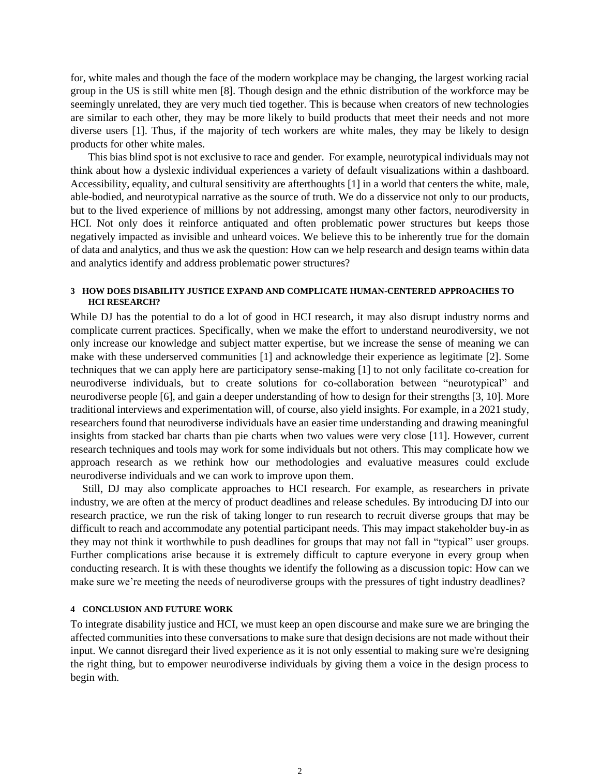for, white males and though the face of the modern workplace may be changing, the largest working racial group in the US is still white men [8]. Though design and the ethnic distribution of the workforce may be seemingly unrelated, they are very much tied together. This is because when creators of new technologies are similar to each other, they may be more likely to build products that meet their needs and not more diverse users [1]. Thus, if the majority of tech workers are white males, they may be likely to design products for other white males.

This bias blind spot is not exclusive to race and gender. For example, neurotypical individuals may not think about how a dyslexic individual experiences a variety of default visualizations within a dashboard. Accessibility, equality, and cultural sensitivity are afterthoughts [1] in a world that centers the white, male, able-bodied, and neurotypical narrative as the source of truth. We do a disservice not only to our products, but to the lived experience of millions by not addressing, amongst many other factors, neurodiversity in HCI. Not only does it reinforce antiquated and often problematic power structures but keeps those negatively impacted as invisible and unheard voices. We believe this to be inherently true for the domain of data and analytics, and thus we ask the question: How can we help research and design teams within data and analytics identify and address problematic power structures?

## **3 HOW DOES DISABILITY JUSTICE EXPAND AND COMPLICATE HUMAN-CENTERED APPROACHES TO HCI RESEARCH?**

While DJ has the potential to do a lot of good in HCI research, it may also disrupt industry norms and complicate current practices. Specifically, when we make the effort to understand neurodiversity, we not only increase our knowledge and subject matter expertise, but we increase the sense of meaning we can make with these underserved communities [1] and acknowledge their experience as legitimate [2]. Some techniques that we can apply here are participatory sense-making [1] to not only facilitate co-creation for neurodiverse individuals, but to create solutions for co-collaboration between "neurotypical" and neurodiverse people [6], and gain a deeper understanding of how to design for their strengths [3, 10]. More traditional interviews and experimentation will, of course, also yield insights. For example, in a 2021 study, researchers found that neurodiverse individuals have an easier time understanding and drawing meaningful insights from stacked bar charts than pie charts when two values were very close [11]. However, current research techniques and tools may work for some individuals but not others. This may complicate how we approach research as we rethink how our methodologies and evaluative measures could exclude neurodiverse individuals and we can work to improve upon them.

Still, DJ may also complicate approaches to HCI research. For example, as researchers in private industry, we are often at the mercy of product deadlines and release schedules. By introducing DJ into our research practice, we run the risk of taking longer to run research to recruit diverse groups that may be difficult to reach and accommodate any potential participant needs. This may impact stakeholder buy-in as they may not think it worthwhile to push deadlines for groups that may not fall in "typical" user groups. Further complications arise because it is extremely difficult to capture everyone in every group when conducting research. It is with these thoughts we identify the following as a discussion topic: How can we make sure we're meeting the needs of neurodiverse groups with the pressures of tight industry deadlines?

## **4 CONCLUSION AND FUTURE WORK**

To integrate disability justice and HCI, we must keep an open discourse and make sure we are bringing the affected communities into these conversations to make sure that design decisions are not made without their input. We cannot disregard their lived experience as it is not only essential to making sure we're designing the right thing, but to empower neurodiverse individuals by giving them a voice in the design process to begin with.